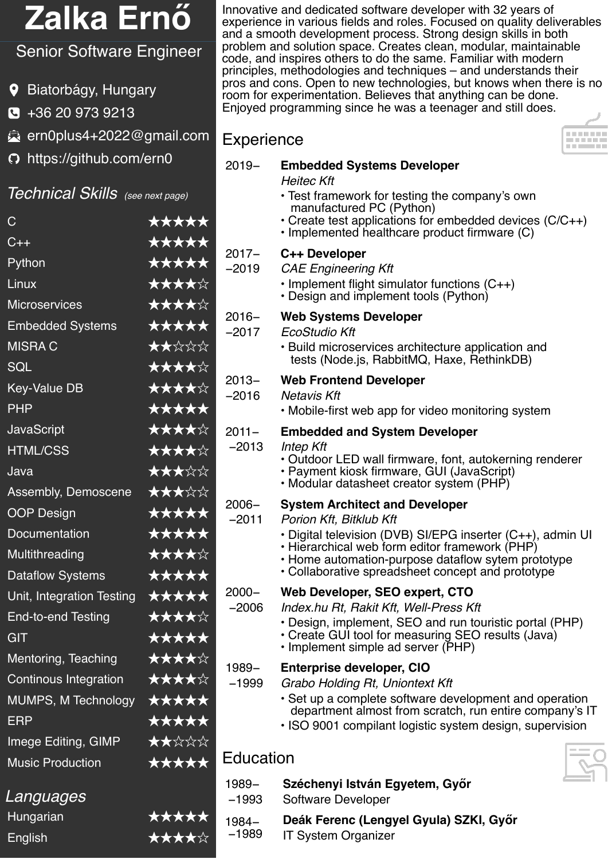# **Zalka Ernő**

## Senior Software Engineer

- Biatorbágy, Hungary
- +36 20 973 9213
- <ern0plus4+2022@gmail.com>
- <https://github.com/ern0>

#### Technical Skills (see next page)

| $\overline{C}$               | ★★★★★        |
|------------------------------|--------------|
| $C++$                        | ★★★★★        |
| Python                       | ★★★★★        |
| Linux                        | ★★★★☆        |
| <b>Microservices</b>         | ★★★★☆        |
| <b>Embedded Systems</b>      | *****        |
| <b>MISRAC</b>                | ★★☆☆☆        |
| <b>SQL</b>                   | ★★★★☆        |
| <b>Key-Value DB</b>          | ★★★★☆        |
| <b>PHP</b>                   | *****        |
| <b>JavaScript</b>            | ★★★★☆        |
| <b>HTML/CSS</b>              | ★★★★☆        |
| Java                         | ★★★☆☆        |
| Assembly, Demoscene          | ★★★☆☆        |
| <b>OOP Design</b>            | *****        |
| <b>Documentation</b>         | ★★★★★        |
| Multithreading               | ★★★★☆        |
| <b>Dataflow Systems</b>      | *****        |
| Unit, Integration Testing    | ★★★★★        |
| <b>End-to-end Testing</b>    | ★★★★☆        |
| <b>GIT</b>                   | *****        |
| Mentoring, Teaching          | ★★★★☆        |
| <b>Continous Integration</b> | ★★★★☆        |
| MUMPS, M Technology          | ★★★★★        |
| <b>ERP</b>                   | *****        |
| Imege Editing, GIMP          | ★★☆☆☆        |
| <b>Music Production</b>      | *****        |
| Languages                    |              |
| Hungarian                    | <b>*****</b> |

English ★★★★☆

Innovative and dedicated software developer with 32 years of experience in various fields and roles. Focused on quality deliverables and a smooth development process. Strong design skills in both problem and solution space. Creates clean, modular, maintainable code, and inspires others to do the same. Familiar with modern principles, methodologies and techniques – and understands their pros and cons. Open to new technologies, but knows when there is no room for experimentation. Believes that anything can be done. Enjoyed programming since he was a teenager and still does.

**HAND** 

## **Experience**

| $2019 -$            | <b>Embedded Systems Developer</b><br><b>Heitec Kft</b><br>• Test framework for testing the company's own<br>manufactured PC (Python)<br>• Create test applications for embedded devices $(C/C++)$<br>· Implemented healthcare product firmware (C)                                          |  |  |  |
|---------------------|---------------------------------------------------------------------------------------------------------------------------------------------------------------------------------------------------------------------------------------------------------------------------------------------|--|--|--|
| $2017 -$<br>$-2019$ | C++ Developer<br><b>CAE Engineering Kft</b><br>· Implement flight simulator functions (C++)<br>• Design and implement tools (Python)                                                                                                                                                        |  |  |  |
| 2016–<br>$-2017$    | <b>Web Systems Developer</b><br><b>EcoStudio Kft</b><br>• Build microservices architecture application and<br>tests (Node.js, RabbitMQ, Haxe, RethinkDB)                                                                                                                                    |  |  |  |
| $2013 -$<br>$-2016$ | <b>Web Frontend Developer</b><br><b>Netavis Kft</b><br>• Mobile-first web app for video monitoring system                                                                                                                                                                                   |  |  |  |
| $2011 -$<br>$-2013$ | <b>Embedded and System Developer</b><br>Intep Kft<br>• Outdoor LED wall firmware, font, autokerning renderer<br>• Payment kiosk firmware, GUI (JavaScript)<br>• Modular datasheet creator system (PHP)                                                                                      |  |  |  |
| $2006 -$<br>$-2011$ | <b>System Architect and Developer</b><br>Porion Kft, Bitklub Kft<br>• Digital television (DVB) SI/EPG inserter (C++), admin UI<br>• Hierarchical web form editor framework (PHP)<br>• Home automation-purpose dataflow sytem prototype<br>• Collaborative spreadsheet concept and prototype |  |  |  |
| 2000–<br>$-2006$    | Web Developer, SEO expert, CTO<br>Index.hu Rt, Rakit Kft, Well-Press Kft<br>• Design, implement, SEO and run touristic portal (PHP)<br>• Create GUI tool for measuring SEO results (Java)<br>• Implement simple ad server (PHP)                                                             |  |  |  |
| 1989-<br>$-1999$    | <b>Enterprise developer, CIO</b><br>Grabo Holding Rt, Uniontext Kft<br>· Set up a complete software development and operation<br>department almost from scratch, run entire company's IT<br>• ISO 9001 compilant logistic system design, supervision                                        |  |  |  |
| Education           |                                                                                                                                                                                                                                                                                             |  |  |  |
| 1989-<br>$-1993$    | Széchenyi István Egyetem, Győr<br>Software Developer                                                                                                                                                                                                                                        |  |  |  |
| 1984-               | Deák Ferenc (Lengyel Gyula) SZKI, Győr                                                                                                                                                                                                                                                      |  |  |  |

IT System Organizer

−1989